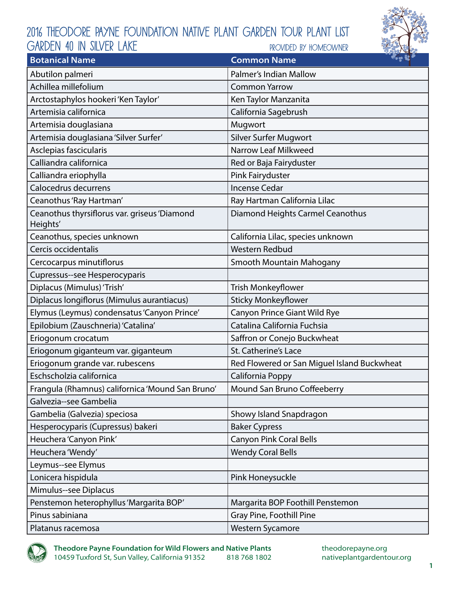## 2016 Theodore Payne Foundation Native Plant Garden Tour Plant List provided by homeowner GARDEN 40 in silver lake



| <b>Botanical Name</b>                                    | $\sim$ $\approx$ $\sim$<br><b>Common Name</b> |
|----------------------------------------------------------|-----------------------------------------------|
| Abutilon palmeri                                         | Palmer's Indian Mallow                        |
| Achillea millefolium                                     | <b>Common Yarrow</b>                          |
| Arctostaphylos hookeri 'Ken Taylor'                      | Ken Taylor Manzanita                          |
| Artemisia californica                                    | California Sagebrush                          |
| Artemisia douglasiana                                    | Mugwort                                       |
| Artemisia douglasiana 'Silver Surfer'                    | <b>Silver Surfer Mugwort</b>                  |
| Asclepias fascicularis                                   | Narrow Leaf Milkweed                          |
| Calliandra californica                                   | Red or Baja Fairyduster                       |
| Calliandra eriophylla                                    | Pink Fairyduster                              |
| Calocedrus decurrens                                     | <b>Incense Cedar</b>                          |
| Ceanothus 'Ray Hartman'                                  | Ray Hartman California Lilac                  |
| Ceanothus thyrsiflorus var. griseus 'Diamond<br>Heights' | Diamond Heights Carmel Ceanothus              |
| Ceanothus, species unknown                               | California Lilac, species unknown             |
| Cercis occidentalis                                      | <b>Western Redbud</b>                         |
| Cercocarpus minutiflorus                                 | Smooth Mountain Mahogany                      |
| Cupressus--see Hesperocyparis                            |                                               |
| Diplacus (Mimulus) 'Trish'                               | <b>Trish Monkeyflower</b>                     |
| Diplacus longiflorus (Mimulus aurantiacus)               | <b>Sticky Monkeyflower</b>                    |
| Elymus (Leymus) condensatus 'Canyon Prince'              | Canyon Prince Giant Wild Rye                  |
| Epilobium (Zauschneria) 'Catalina'                       | Catalina California Fuchsia                   |
| Eriogonum crocatum                                       | Saffron or Conejo Buckwheat                   |
| Eriogonum giganteum var. giganteum                       | <b>St. Catherine's Lace</b>                   |
| Eriogonum grande var. rubescens                          | Red Flowered or San Miguel Island Buckwheat   |
| Eschscholzia californica                                 | California Poppy                              |
| Frangula (Rhamnus) californica 'Mound San Bruno'         | Mound San Bruno Coffeeberry                   |
| Galvezia--see Gambelia                                   |                                               |
| Gambelia (Galvezia) speciosa                             | Showy Island Snapdragon                       |
| Hesperocyparis (Cupressus) bakeri                        | <b>Baker Cypress</b>                          |
| Heuchera 'Canyon Pink'                                   | <b>Canyon Pink Coral Bells</b>                |
| Heuchera 'Wendy'                                         | <b>Wendy Coral Bells</b>                      |
| Leymus--see Elymus                                       |                                               |
| Lonicera hispidula                                       | Pink Honeysuckle                              |
| Mimulus--see Diplacus                                    |                                               |
| Penstemon heterophyllus 'Margarita BOP'                  | Margarita BOP Foothill Penstemon              |
| Pinus sabiniana                                          | Gray Pine, Foothill Pine                      |
| Platanus racemosa                                        | <b>Western Sycamore</b>                       |